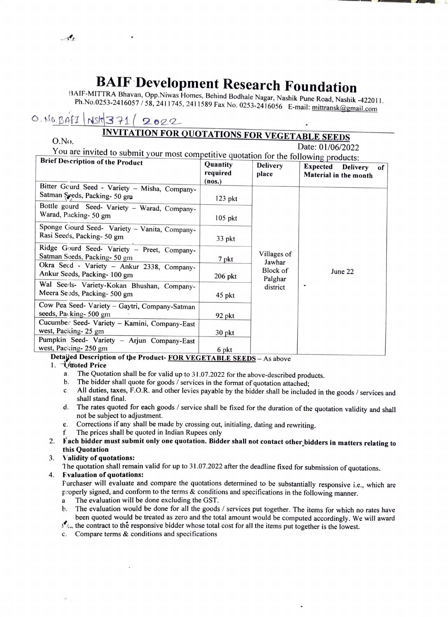BAIF Development Research Foundation<br>BAIF-MITTRA Bhavan, Opp.Niwas Homes, Behind Bodhale Nagar, Nashik Pune Road, Nashik -422011.<br>Ph.No.0253-2416057/58, 2411745, 2411589 Fax No. 0253-2416056 E-mail: mittransk@gmail.com

## $0.008441$   $Nsh371/2022$

# INVITATION FOR QUOTATIONS FOR VEGETABLE SEEDS

| <u><b>Explorations FOR VEGETABLE SEEDS</b></u><br>O.No.                               |                                |                                       |                                                                   |
|---------------------------------------------------------------------------------------|--------------------------------|---------------------------------------|-------------------------------------------------------------------|
|                                                                                       |                                |                                       | Date: 01/06/2022                                                  |
| You are invited to submit your most competitive quotation for the following products: |                                |                                       |                                                                   |
| <b>Brief Description of the Product</b>                                               | Quantity<br>required<br>(nos.) | <b>Delivery</b><br>place              | <b>Expected</b><br><b>Delivery</b><br>of<br>Material in the month |
| Bitter Gourd Seed - Variety - Misha, Company-<br>Satman Seeds, Packing- 50 gm         | $123$ pkt                      |                                       |                                                                   |
| Bottle gourd Seed- Variety - Warad, Company-<br>Warad, Packing- 50 gm                 | $105$ pkt                      |                                       |                                                                   |
| Sponge Gourd Seed- Variety - Vanita, Company-<br>Rasi Seeds, Packing- 50 gm           | 33 pkt                         |                                       |                                                                   |
| Ridge Gourd Seed- Variety - Preet, Company-<br>Satman Seeds, Packing- 50 gm           | 7 pkt                          | Villages of<br>Jawhar                 |                                                                   |
| Okra Seed - Variety - Ankur 2338, Company-<br>Ankur Seeds, Packing- 100 gm            | $206$ nkt                      | Block of<br>$\mathbf{r}$ $\mathbf{r}$ | June 22                                                           |

| $206$ pkt |          |         |
|-----------|----------|---------|
| 45 pkt    | district |         |
|           |          |         |
| 92 pkt    |          |         |
|           |          |         |
| 30 pkt    |          |         |
|           |          |         |
| 6 pkt     |          |         |
|           |          | Palghar |

# Detaied Deseription of the Product- FOR VEGETABLE SEEDS - As above pkt

- 1. Viroted Price<br>a. The Quotation shall be for valid up to 31.07.2022 for the above-described products. a.
	- The bidder shall quote for goods / services in the format of quotation attached; b.
	- C. All duties, taxes, F.O.R. and other levies payable by the bidder shall be included in the goods / services and shall stand final.
	- The rates quoted for each goods / service shall be fixed for the duration of the quotation validity and shall d. not be subject to adjustment.
	- Corrections if any shall be made by crossing out, initialing, dating and rewriting. e.
	- The prices shall be quoted in Indian Rupees only  $\mathbf{f}$
- 2. Fach bidder must submit only one quotation. Bidder shall not contact other bidders in matters relating to this Quotation
- Validity of quotations: 3.

The quotation shall remain valid for up to 31.07.2022 after the deadline fixed for submission of quotations.

Evaluation of quotations: 4.

Purchaser will evaluate and compare the quotations determined to be substantially responsive i.e., which are properly signed, and conform to the terms & conditions and specifications in the following manner.

- a The evaluation will be done excluding the GST.
- b. The evaluation would be done for all the goods / services put together. The items for which no rates have been quoted would be treated as zero and the total amount would be computed accordingly. We will award
- $\mathcal{I}_{\text{tot}}$  the contract to the responsive bidder whose total cost for all the items put together is the lowest.
- C. Compare terms & conditions and specifications

 $-3$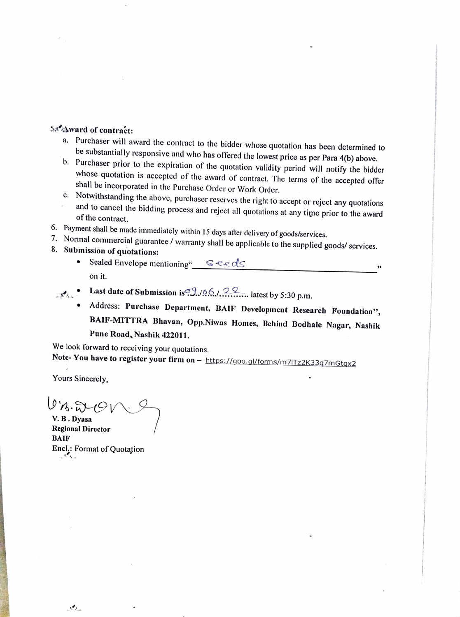- 
- SACA and of contract:<br>
a. Purchaser will award the contract to the bidder whose quotation has been determined to<br>
be substantially responsive and who has offered the lowest price as per Para 4(b) above.<br>
b. Purchaser prio
	- and to cancel the bidding process and reject all quotations at any time prior to the award of the contract.
- 6. Payment shall be made immediately within 15 days after delivery of goods/services.
- 
- 
- 7. Normal immediately within 15 days after delivery of goods/services. commercial guarantee/ warranty shall be applicable to the 8. Submission supplied goods/ services of quotations: Sealed Envelope mentioning" Seeds 9 on it.
	- Last date of Submission is. 9. 166. 22 latest by 5:30 p.m.
		- Address: Purchase Department, BAIF Development Research Foundation', BAIF-MITTRA Bhavan, Opp.Niwas Homes, Behind Bodhale Nagar, Nashik Pune Road, Nashik 422011.

We look forward to receiving your quotations.<br>Note- You have to register your firm on – https://goo.gl/forms/m7lTz2K33q7mGtqx2

Yours Sincerely,

 $0.8.8001$ V.B.Dyasa Regional Director BAIF Encl.: Format of Quotation